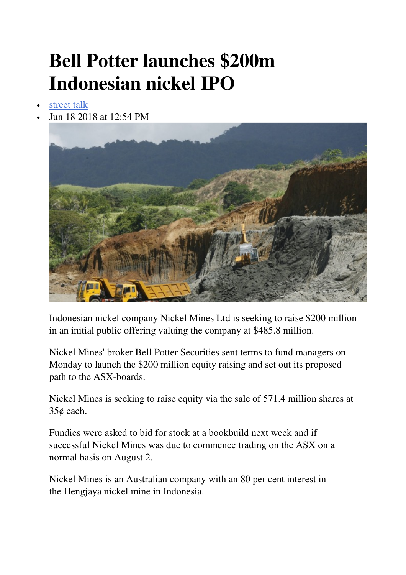## **Bell Potter launches \$200m Indonesian nickel IPO**

- street talk
- Jun 18 2018 at 12:54 PM



Indonesian nickel company Nickel Mines Ltd is seeking to raise \$200 million in an initial public offering valuing the company at \$485.8 million.

Nickel Mines' broker Bell Potter Securities sent terms to fund managers on Monday to launch the \$200 million equity raising and set out its proposed path to the ASX-boards.

Nickel Mines is seeking to raise equity via the sale of 571.4 million shares at 35¢ each.

Fundies were asked to bid for stock at a bookbuild next week and if successful Nickel Mines was due to commence trading on the ASX on a normal basis on August 2.

Nickel Mines is an Australian company with an 80 per cent interest in the Hengjaya nickel mine in Indonesia.